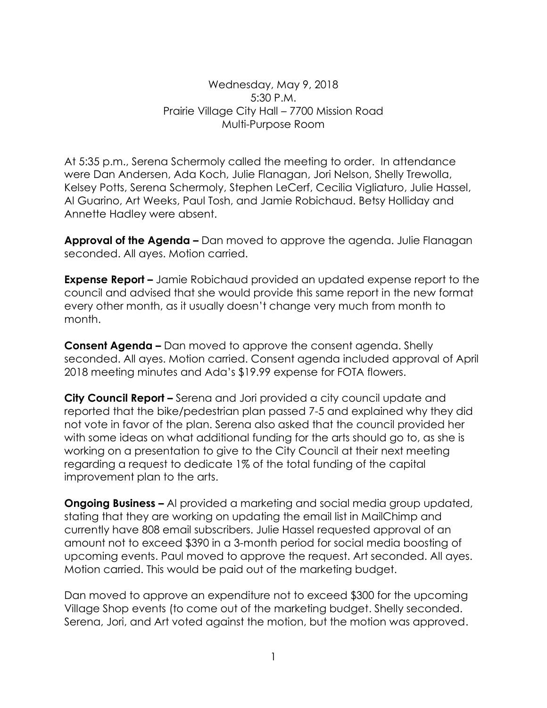Wednesday, May 9, 2018 5:30 P.M. Prairie Village City Hall – 7700 Mission Road Multi-Purpose Room

At 5:35 p.m., Serena Schermoly called the meeting to order. In attendance were Dan Andersen, Ada Koch, Julie Flanagan, Jori Nelson, Shelly Trewolla, Kelsey Potts, Serena Schermoly, Stephen LeCerf, Cecilia Vigliaturo, Julie Hassel, Al Guarino, Art Weeks, Paul Tosh, and Jamie Robichaud. Betsy Holliday and Annette Hadley were absent.

**Approval of the Agenda –** Dan moved to approve the agenda. Julie Flanagan seconded. All ayes. Motion carried.

**Expense Report –** Jamie Robichaud provided an updated expense report to the council and advised that she would provide this same report in the new format every other month, as it usually doesn't change very much from month to month.

**Consent Agenda –** Dan moved to approve the consent agenda. Shelly seconded. All ayes. Motion carried. Consent agenda included approval of April 2018 meeting minutes and Ada's \$19.99 expense for FOTA flowers.

**City Council Report –** Serena and Jori provided a city council update and reported that the bike/pedestrian plan passed 7-5 and explained why they did not vote in favor of the plan. Serena also asked that the council provided her with some ideas on what additional funding for the arts should go to, as she is working on a presentation to give to the City Council at their next meeting regarding a request to dedicate 1% of the total funding of the capital improvement plan to the arts.

**Ongoing Business –** Al provided a marketing and social media group updated, stating that they are working on updating the email list in MailChimp and currently have 808 email subscribers. Julie Hassel requested approval of an amount not to exceed \$390 in a 3-month period for social media boosting of upcoming events. Paul moved to approve the request. Art seconded. All ayes. Motion carried. This would be paid out of the marketing budget.

Dan moved to approve an expenditure not to exceed \$300 for the upcoming Village Shop events (to come out of the marketing budget. Shelly seconded. Serena, Jori, and Art voted against the motion, but the motion was approved.